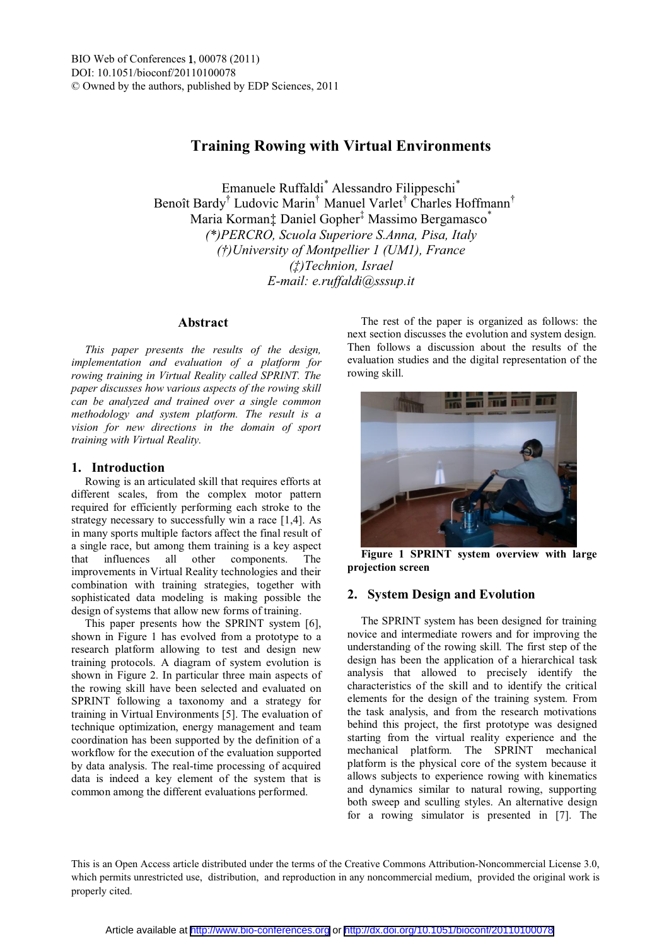# **Training Rowing with Virtual Environments**

Emanuele Ruffaldi\* Alessandro Filippeschi\* Benoît Bardy<sup>†</sup> Ludovic Marin<sup>†</sup> Manuel Varlet<sup>†</sup> Charles Hoffmann<sup>†</sup> Maria Korman $\ddagger$  Daniel Gopher<sup>‡</sup> Massimo Bergamasco<sup>\*</sup> *(\*)PERCRO, Scuola Superiore S.Anna, Pisa, Italy ( University of Montpellier 1 (UM1), France ÁTechnion, Israel E-mail: e.ruffaldi@sssup.it* 

## **Abstract**

*This paper presents the results of the design, implementation and evaluation of a platform for rowing training in Virtual Reality called SPRINT. The paper discusses how various aspects of the rowing skill can be analyzed and trained over a single common methodology and system platform. The result is a vision for new directions in the domain of sport training with Virtual Reality.* 

# **1. Introduction**

Rowing is an articulated skill that requires efforts at different scales, from the complex motor pattern required for efficiently performing each stroke to the strategy necessary to successfully win a race [1,4]. As in many sports multiple factors affect the final result of a single race, but among them training is a key aspect that influences all other components. The improvements in Virtual Reality technologies and their combination with training strategies, together with sophisticated data modeling is making possible the design of systems that allow new forms of training.

This paper presents how the SPRINT system [6], shown in Figure 1 has evolved from a prototype to a research platform allowing to test and design new training protocols. A diagram of system evolution is shown in Figure 2. In particular three main aspects of the rowing skill have been selected and evaluated on SPRINT following a taxonomy and a strategy for training in Virtual Environments [5]. The evaluation of technique optimization, energy management and team coordination has been supported by the definition of a workflow for the execution of the evaluation supported by data analysis. The real-time processing of acquired data is indeed a key element of the system that is common among the different evaluations performed.

The rest of the paper is organized as follows: the next section discusses the evolution and system design. Then follows a discussion about the results of the evaluation studies and the digital representation of the rowing skill.



**Figure 1 SPRINT system overview with large projection screen** 

# **2. System Design and Evolution**

The SPRINT system has been designed for training novice and intermediate rowers and for improving the understanding of the rowing skill. The first step of the design has been the application of a hierarchical task analysis that allowed to precisely identify the characteristics of the skill and to identify the critical elements for the design of the training system. From the task analysis, and from the research motivations behind this project, the first prototype was designed starting from the virtual reality experience and the mechanical platform. The SPRINT mechanical platform is the physical core of the system because it allows subjects to experience rowing with kinematics and dynamics similar to natural rowing, supporting both sweep and sculling styles. An alternative design for a rowing simulator is presented in [7]. The

This is an Open Access article distributed under the terms of the Creative Commons Attribution-Noncommercial License 3.0, which permits unrestricted use, distribution, and reproduction in any noncommercial medium, provided the original work is properly cited.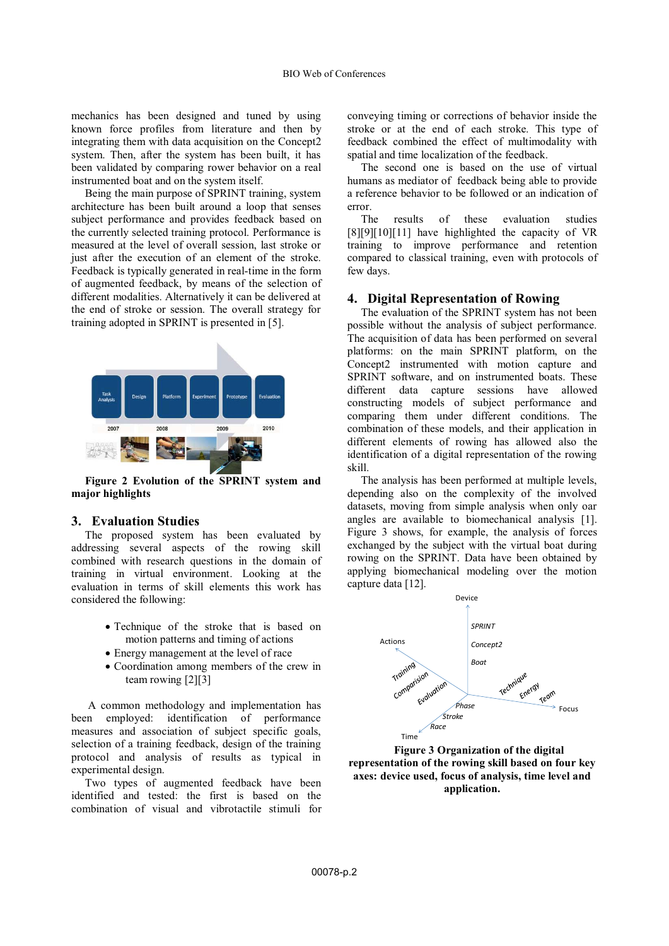mechanics has been designed and tuned by using known force profiles from literature and then by integrating them with data acquisition on the Concept2 system. Then, after the system has been built, it has been validated by comparing rower behavior on a real instrumented boat and on the system itself.

Being the main purpose of SPRINT training, system architecture has been built around a loop that senses subject performance and provides feedback based on the currently selected training protocol. Performance is measured at the level of overall session, last stroke or just after the execution of an element of the stroke. Feedback is typically generated in real-time in the form of augmented feedback, by means of the selection of different modalities. Alternatively it can be delivered at the end of stroke or session. The overall strategy for training adopted in SPRINT is presented in [5].



**Figure 2 Evolution of the SPRINT system and major highlights** 

# **3. Evaluation Studies**

The proposed system has been evaluated by addressing several aspects of the rowing skill combined with research questions in the domain of training in virtual environment. Looking at the evaluation in terms of skill elements this work has considered the following:

- Technique of the stroke that is based on motion patterns and timing of actions
- Energy management at the level of race
- Coordination among members of the crew in team rowing [2][3]

 A common methodology and implementation has been employed: identification of performance measures and association of subject specific goals, selection of a training feedback, design of the training protocol and analysis of results as typical in experimental design.

Two types of augmented feedback have been identified and tested: the first is based on the combination of visual and vibrotactile stimuli for

conveying timing or corrections of behavior inside the stroke or at the end of each stroke. This type of feedback combined the effect of multimodality with spatial and time localization of the feedback.

The second one is based on the use of virtual humans as mediator of feedback being able to provide a reference behavior to be followed or an indication of error.

The results of these evaluation studies [8][9][10][11] have highlighted the capacity of VR training to improve performance and retention compared to classical training, even with protocols of few days.

#### **4. Digital Representation of Rowing**

The evaluation of the SPRINT system has not been possible without the analysis of subject performance. The acquisition of data has been performed on several platforms: on the main SPRINT platform, on the Concept2 instrumented with motion capture and SPRINT software, and on instrumented boats. These different data capture sessions have allowed constructing models of subject performance and comparing them under different conditions. The combination of these models, and their application in different elements of rowing has allowed also the identification of a digital representation of the rowing skill.

The analysis has been performed at multiple levels, depending also on the complexity of the involved datasets, moving from simple analysis when only oar angles are available to biomechanical analysis [1]. Figure 3 shows, for example, the analysis of forces exchanged by the subject with the virtual boat during rowing on the SPRINT. Data have been obtained by applying biomechanical modeling over the motion capture data [12].



**Figure 3 Organization of the digital representation of the rowing skill based on four key axes: device used, focus of analysis, time level and application.**